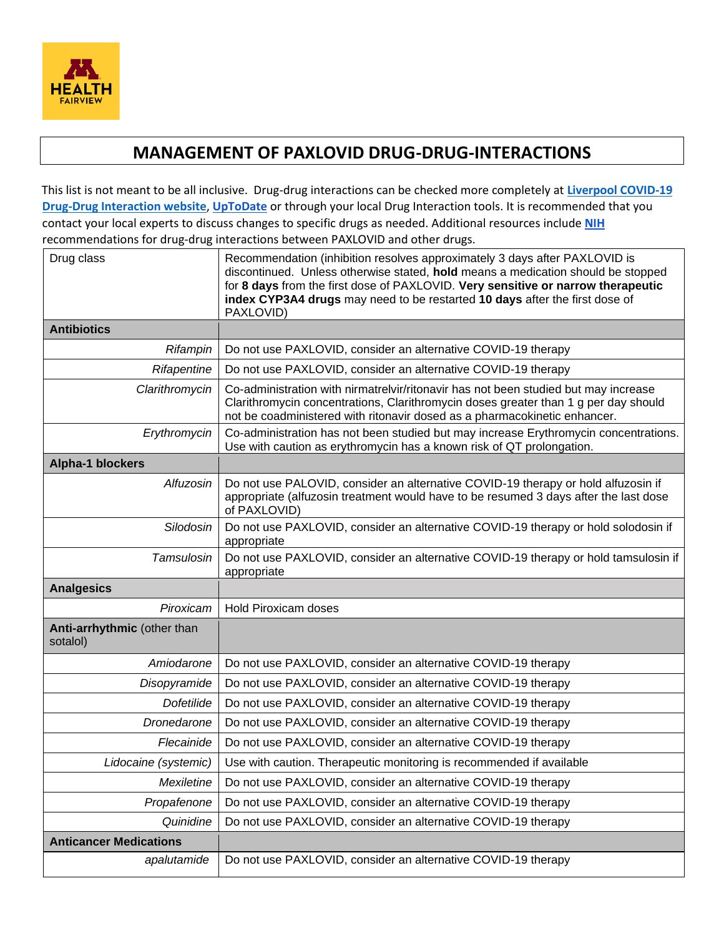

## **MANAGEMENT OF PAXLOVID DRUG-DRUG-INTERACTIONS**

This list is not meant to be all inclusive. Drug-drug interactions can be checked more completely at **[Liverpool COVID-19](https://www.covid19-druginteractions.org/) [Drug-Drug Interaction website](https://www.covid19-druginteractions.org/)**, **[UpToDate](https://www.uptodate.com/contents/nirmatrelvir-and-ritonavir-united-states-authorized-for-use-drug-information?source=auto_suggest&selectedTitle=1~1---1~4---paxlov&search=paxlovid#F56468560)** or through your local Drug Interaction tools. It is recommended that you contact your local experts to discuss changes to specific drugs as needed. Additional resources include **[NIH](https://www.covid19treatmentguidelines.nih.gov/therapies/statement-on-paxlovid-drug-drug-interactions/)** recommendations for drug-drug interactions between PAXLOVID and other drugs.

| Drug class                              | Recommendation (inhibition resolves approximately 3 days after PAXLOVID is<br>discontinued. Unless otherwise stated, hold means a medication should be stopped<br>for 8 days from the first dose of PAXLOVID. Very sensitive or narrow therapeutic<br>index CYP3A4 drugs may need to be restarted 10 days after the first dose of<br>PAXLOVID) |
|-----------------------------------------|------------------------------------------------------------------------------------------------------------------------------------------------------------------------------------------------------------------------------------------------------------------------------------------------------------------------------------------------|
| <b>Antibiotics</b>                      |                                                                                                                                                                                                                                                                                                                                                |
| Rifampin                                | Do not use PAXLOVID, consider an alternative COVID-19 therapy                                                                                                                                                                                                                                                                                  |
| Rifapentine                             | Do not use PAXLOVID, consider an alternative COVID-19 therapy                                                                                                                                                                                                                                                                                  |
| Clarithromycin                          | Co-administration with nirmatrelvir/ritonavir has not been studied but may increase<br>Clarithromycin concentrations, Clarithromycin doses greater than 1 g per day should<br>not be coadministered with ritonavir dosed as a pharmacokinetic enhancer.                                                                                        |
| Erythromycin                            | Co-administration has not been studied but may increase Erythromycin concentrations.<br>Use with caution as erythromycin has a known risk of QT prolongation.                                                                                                                                                                                  |
| Alpha-1 blockers                        |                                                                                                                                                                                                                                                                                                                                                |
| Alfuzosin                               | Do not use PALOVID, consider an alternative COVID-19 therapy or hold alfuzosin if<br>appropriate (alfuzosin treatment would have to be resumed 3 days after the last dose<br>of PAXLOVID)                                                                                                                                                      |
| Silodosin                               | Do not use PAXLOVID, consider an alternative COVID-19 therapy or hold solodosin if<br>appropriate                                                                                                                                                                                                                                              |
| Tamsulosin                              | Do not use PAXLOVID, consider an alternative COVID-19 therapy or hold tamsulosin if<br>appropriate                                                                                                                                                                                                                                             |
| <b>Analgesics</b>                       |                                                                                                                                                                                                                                                                                                                                                |
| Piroxicam                               | <b>Hold Piroxicam doses</b>                                                                                                                                                                                                                                                                                                                    |
| Anti-arrhythmic (other than<br>sotalol) |                                                                                                                                                                                                                                                                                                                                                |
| Amiodarone                              | Do not use PAXLOVID, consider an alternative COVID-19 therapy                                                                                                                                                                                                                                                                                  |
| Disopyramide                            | Do not use PAXLOVID, consider an alternative COVID-19 therapy                                                                                                                                                                                                                                                                                  |
| Dofetilide                              | Do not use PAXLOVID, consider an alternative COVID-19 therapy                                                                                                                                                                                                                                                                                  |
| Dronedarone                             | Do not use PAXLOVID, consider an alternative COVID-19 therapy                                                                                                                                                                                                                                                                                  |
| Flecainide                              | Do not use PAXLOVID, consider an alternative COVID-19 therapy                                                                                                                                                                                                                                                                                  |
| Lidocaine (systemic)                    | Use with caution. Therapeutic monitoring is recommended if available                                                                                                                                                                                                                                                                           |
| Mexiletine                              | Do not use PAXLOVID, consider an alternative COVID-19 therapy                                                                                                                                                                                                                                                                                  |
| Propafenone                             | Do not use PAXLOVID, consider an alternative COVID-19 therapy                                                                                                                                                                                                                                                                                  |
| Quinidine                               | Do not use PAXLOVID, consider an alternative COVID-19 therapy                                                                                                                                                                                                                                                                                  |
| <b>Anticancer Medications</b>           |                                                                                                                                                                                                                                                                                                                                                |
| apalutamide                             | Do not use PAXLOVID, consider an alternative COVID-19 therapy                                                                                                                                                                                                                                                                                  |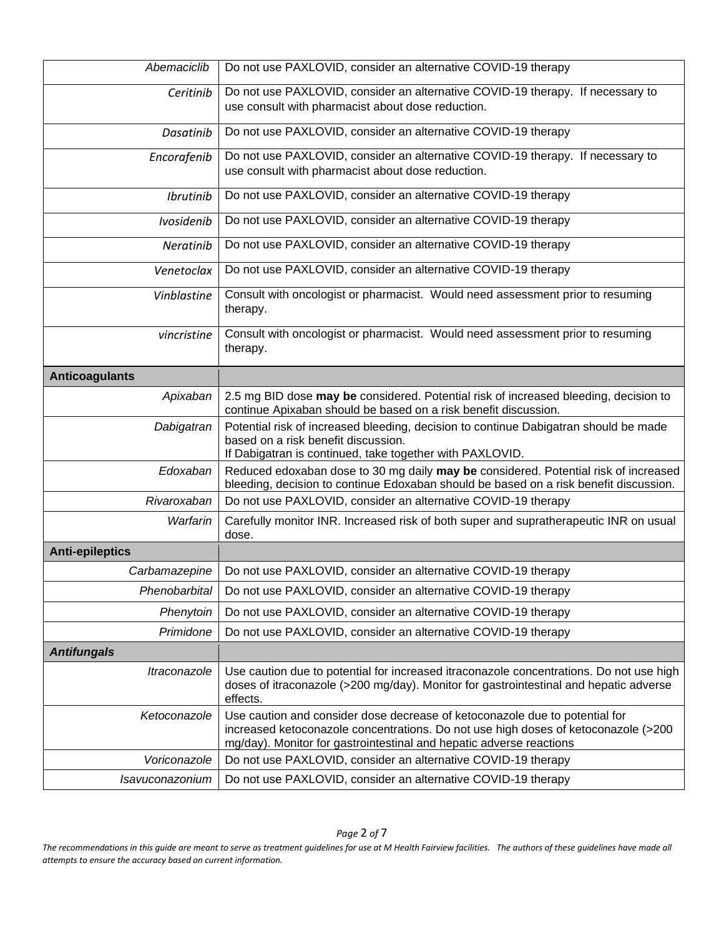| Abemaciclib            | Do not use PAXLOVID, consider an alternative COVID-19 therapy                                                                                                                                                                            |
|------------------------|------------------------------------------------------------------------------------------------------------------------------------------------------------------------------------------------------------------------------------------|
| Ceritinib              | Do not use PAXLOVID, consider an alternative COVID-19 therapy. If necessary to<br>use consult with pharmacist about dose reduction.                                                                                                      |
| Dasatinib              | Do not use PAXLOVID, consider an alternative COVID-19 therapy                                                                                                                                                                            |
| Encorafenib            | Do not use PAXLOVID, consider an alternative COVID-19 therapy. If necessary to                                                                                                                                                           |
|                        | use consult with pharmacist about dose reduction.                                                                                                                                                                                        |
| Ibrutinib              | Do not use PAXLOVID, consider an alternative COVID-19 therapy                                                                                                                                                                            |
| Ivosidenib             | Do not use PAXLOVID, consider an alternative COVID-19 therapy                                                                                                                                                                            |
| Neratinib              | Do not use PAXLOVID, consider an alternative COVID-19 therapy                                                                                                                                                                            |
| Venetoclax             | Do not use PAXLOVID, consider an alternative COVID-19 therapy                                                                                                                                                                            |
| Vinblastine            | Consult with oncologist or pharmacist. Would need assessment prior to resuming<br>therapy.                                                                                                                                               |
| vincristine            | Consult with oncologist or pharmacist. Would need assessment prior to resuming<br>therapy.                                                                                                                                               |
| <b>Anticoagulants</b>  |                                                                                                                                                                                                                                          |
| Apixaban               | 2.5 mg BID dose may be considered. Potential risk of increased bleeding, decision to<br>continue Apixaban should be based on a risk benefit discussion.                                                                                  |
| Dabigatran             | Potential risk of increased bleeding, decision to continue Dabigatran should be made<br>based on a risk benefit discussion.<br>If Dabigatran is continued, take together with PAXLOVID.                                                  |
| Edoxaban               | Reduced edoxaban dose to 30 mg daily may be considered. Potential risk of increased<br>bleeding, decision to continue Edoxaban should be based on a risk benefit discussion.                                                             |
| Rivaroxaban            | Do not use PAXLOVID, consider an alternative COVID-19 therapy                                                                                                                                                                            |
| Warfarin               | Carefully monitor INR. Increased risk of both super and supratherapeutic INR on usual<br>dose.                                                                                                                                           |
| <b>Anti-epileptics</b> |                                                                                                                                                                                                                                          |
| Carbamazepine          | Do not use PAXLOVID, consider an alternative COVID-19 therapy                                                                                                                                                                            |
| Phenobarbital          | Do not use PAXLOVID, consider an alternative COVID-19 therapy                                                                                                                                                                            |
| Phenytoin              | Do not use PAXLOVID, consider an alternative COVID-19 therapy                                                                                                                                                                            |
| Primidone              | Do not use PAXLOVID, consider an alternative COVID-19 therapy                                                                                                                                                                            |
| <b>Antifungals</b>     |                                                                                                                                                                                                                                          |
| Itraconazole           | Use caution due to potential for increased itraconazole concentrations. Do not use high<br>doses of itraconazole (>200 mg/day). Monitor for gastrointestinal and hepatic adverse<br>effects.                                             |
| Ketoconazole           | Use caution and consider dose decrease of ketoconazole due to potential for<br>increased ketoconazole concentrations. Do not use high doses of ketoconazole (>200<br>mg/day). Monitor for gastrointestinal and hepatic adverse reactions |
| Voriconazole           | Do not use PAXLOVID, consider an alternative COVID-19 therapy                                                                                                                                                                            |
| Isavuconazonium        | Do not use PAXLOVID, consider an alternative COVID-19 therapy                                                                                                                                                                            |

*The recommendations in this guide are meant to serve as treatment guidelines for use at M Health Fairview facilities. The authors of these guidelines have made all attempts to ensure the accuracy based on current information.*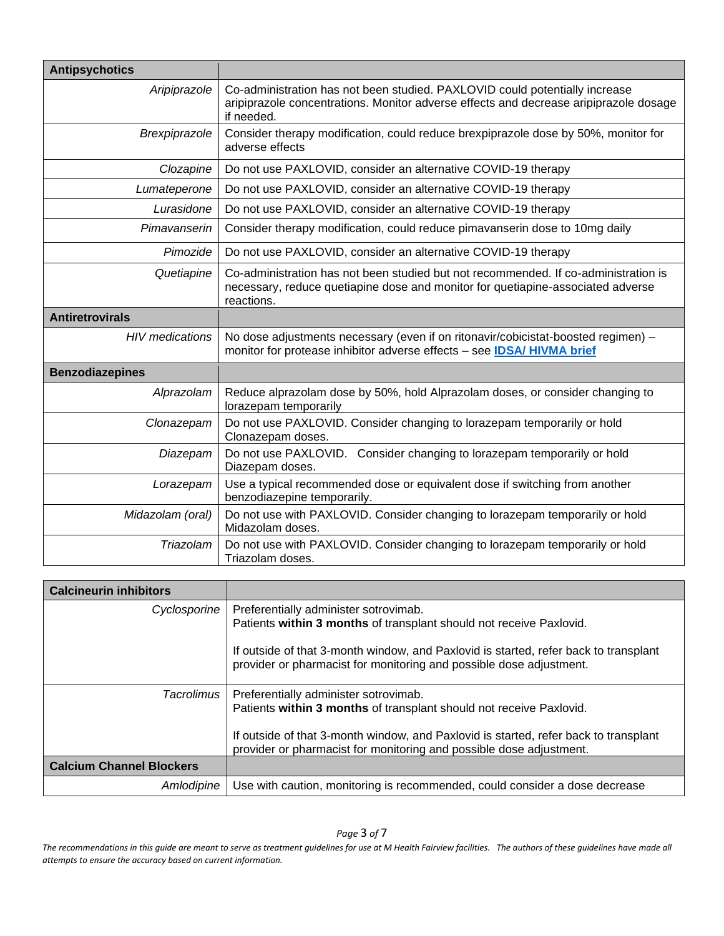| <b>Antipsychotics</b>  |                                                                                                                                                                                      |
|------------------------|--------------------------------------------------------------------------------------------------------------------------------------------------------------------------------------|
| Aripiprazole           | Co-administration has not been studied. PAXLOVID could potentially increase<br>aripiprazole concentrations. Monitor adverse effects and decrease aripiprazole dosage<br>if needed.   |
| Brexpiprazole          | Consider therapy modification, could reduce brexpiprazole dose by 50%, monitor for<br>adverse effects                                                                                |
| Clozapine              | Do not use PAXLOVID, consider an alternative COVID-19 therapy                                                                                                                        |
| Lumateperone           | Do not use PAXLOVID, consider an alternative COVID-19 therapy                                                                                                                        |
| Lurasidone             | Do not use PAXLOVID, consider an alternative COVID-19 therapy                                                                                                                        |
| Pimavanserin           | Consider therapy modification, could reduce pimavanserin dose to 10mg daily                                                                                                          |
| Pimozide               | Do not use PAXLOVID, consider an alternative COVID-19 therapy                                                                                                                        |
| Quetiapine             | Co-administration has not been studied but not recommended. If co-administration is<br>necessary, reduce quetiapine dose and monitor for quetiapine-associated adverse<br>reactions. |
| <b>Antiretrovirals</b> |                                                                                                                                                                                      |
| <b>HIV</b> medications | No dose adjustments necessary (even if on ritonavir/cobicistat-boosted regimen) -<br>monitor for protease inhibitor adverse effects - see IDSA/ HIVMA brief                          |
| <b>Benzodiazepines</b> |                                                                                                                                                                                      |
| Alprazolam             | Reduce alprazolam dose by 50%, hold Alprazolam doses, or consider changing to<br>lorazepam temporarily                                                                               |
| Clonazepam             | Do not use PAXLOVID. Consider changing to lorazepam temporarily or hold<br>Clonazepam doses.                                                                                         |
| Diazepam               | Do not use PAXLOVID. Consider changing to lorazepam temporarily or hold<br>Diazepam doses.                                                                                           |
| Lorazepam              | Use a typical recommended dose or equivalent dose if switching from another<br>benzodiazepine temporarily.                                                                           |
| Midazolam (oral)       | Do not use with PAXLOVID. Consider changing to lorazepam temporarily or hold<br>Midazolam doses.                                                                                     |
| Triazolam              | Do not use with PAXLOVID. Consider changing to lorazepam temporarily or hold<br>Triazolam doses.                                                                                     |

| <b>Calcineurin inhibitors</b>   |                                                                                                                                                                                                                                                                             |
|---------------------------------|-----------------------------------------------------------------------------------------------------------------------------------------------------------------------------------------------------------------------------------------------------------------------------|
| Cyclosporine                    | Preferentially administer sotrovimab.<br>Patients within 3 months of transplant should not receive Paxlovid.<br>If outside of that 3-month window, and Paxlovid is started, refer back to transplant<br>provider or pharmacist for monitoring and possible dose adjustment. |
| Tacrolimus                      | Preferentially administer sotrovimab.<br>Patients within 3 months of transplant should not receive Paxlovid.<br>If outside of that 3-month window, and Paxlovid is started, refer back to transplant<br>provider or pharmacist for monitoring and possible dose adjustment. |
| <b>Calcium Channel Blockers</b> |                                                                                                                                                                                                                                                                             |
| Amlodipine                      | Use with caution, monitoring is recommended, could consider a dose decrease                                                                                                                                                                                                 |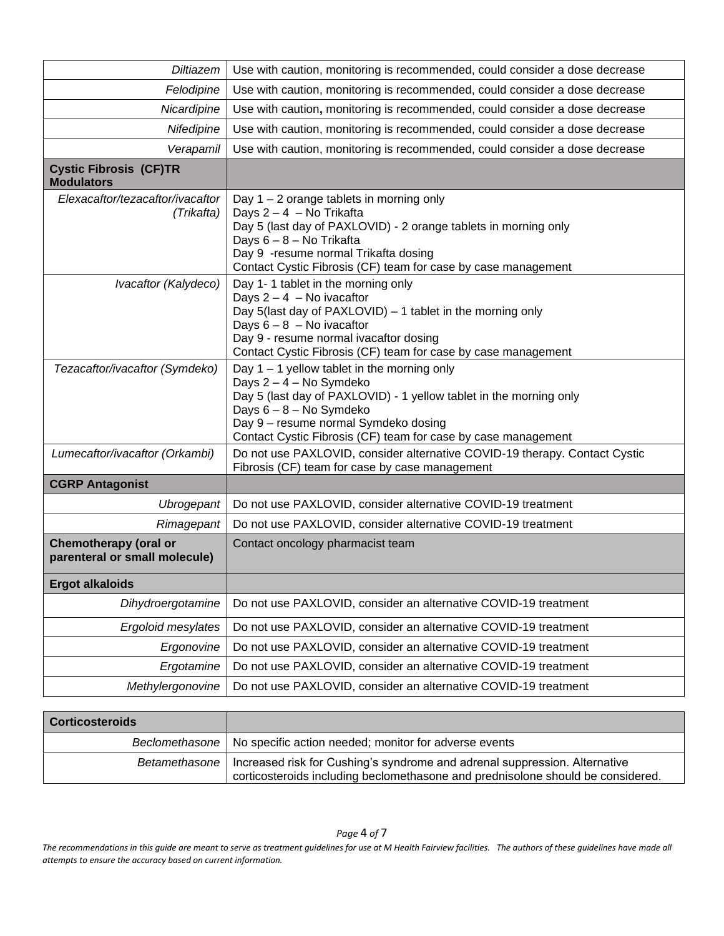| <b>Diltiazem</b>                                              | Use with caution, monitoring is recommended, could consider a dose decrease                                                                                                                                                                                                        |
|---------------------------------------------------------------|------------------------------------------------------------------------------------------------------------------------------------------------------------------------------------------------------------------------------------------------------------------------------------|
| Felodipine                                                    | Use with caution, monitoring is recommended, could consider a dose decrease                                                                                                                                                                                                        |
| Nicardipine                                                   | Use with caution, monitoring is recommended, could consider a dose decrease                                                                                                                                                                                                        |
| Nifedipine                                                    | Use with caution, monitoring is recommended, could consider a dose decrease                                                                                                                                                                                                        |
| Verapamil                                                     | Use with caution, monitoring is recommended, could consider a dose decrease                                                                                                                                                                                                        |
| <b>Cystic Fibrosis (CF)TR</b><br><b>Modulators</b>            |                                                                                                                                                                                                                                                                                    |
| Elexacaftor/tezacaftor/ivacaftor<br>(Trikafta)                | Day $1 - 2$ orange tablets in morning only<br>Days 2-4 - No Trikafta<br>Day 5 (last day of PAXLOVID) - 2 orange tablets in morning only<br>Days 6 - 8 - No Trikafta<br>Day 9 - resume normal Trikafta dosing<br>Contact Cystic Fibrosis (CF) team for case by case management      |
| Ivacaftor (Kalydeco)                                          | Day 1-1 tablet in the morning only<br>Days $2 - 4$ - No ivacaftor<br>Day 5(last day of PAXLOVID) - 1 tablet in the morning only<br>Days $6 - 8 -$ No ivacaftor<br>Day 9 - resume normal ivacaftor dosing<br>Contact Cystic Fibrosis (CF) team for case by case management          |
| Tezacaftor/ivacaftor (Symdeko)                                | Day $1 - 1$ yellow tablet in the morning only<br>Days 2 - 4 - No Symdeko<br>Day 5 (last day of PAXLOVID) - 1 yellow tablet in the morning only<br>Days 6 - 8 - No Symdeko<br>Day 9 - resume normal Symdeko dosing<br>Contact Cystic Fibrosis (CF) team for case by case management |
| Lumecaftor/ivacaftor (Orkambi)                                | Do not use PAXLOVID, consider alternative COVID-19 therapy. Contact Cystic<br>Fibrosis (CF) team for case by case management                                                                                                                                                       |
| <b>CGRP Antagonist</b>                                        |                                                                                                                                                                                                                                                                                    |
| Ubrogepant                                                    | Do not use PAXLOVID, consider alternative COVID-19 treatment                                                                                                                                                                                                                       |
| Rimagepant                                                    | Do not use PAXLOVID, consider alternative COVID-19 treatment                                                                                                                                                                                                                       |
| <b>Chemotherapy (oral or</b><br>parenteral or small molecule) | Contact oncology pharmacist team                                                                                                                                                                                                                                                   |
| <b>Ergot alkaloids</b>                                        |                                                                                                                                                                                                                                                                                    |
| Dihydroergotamine                                             | Do not use PAXLOVID, consider an alternative COVID-19 treatment                                                                                                                                                                                                                    |
| Ergoloid mesylates                                            | Do not use PAXLOVID, consider an alternative COVID-19 treatment                                                                                                                                                                                                                    |
| Ergonovine                                                    | Do not use PAXLOVID, consider an alternative COVID-19 treatment                                                                                                                                                                                                                    |
| Ergotamine                                                    | Do not use PAXLOVID, consider an alternative COVID-19 treatment                                                                                                                                                                                                                    |
| Methylergonovine                                              | Do not use PAXLOVID, consider an alternative COVID-19 treatment                                                                                                                                                                                                                    |

| <b>Corticosteroids</b> |                                                                                                                                                                               |
|------------------------|-------------------------------------------------------------------------------------------------------------------------------------------------------------------------------|
|                        | Beclomethasone   No specific action needed; monitor for adverse events                                                                                                        |
|                        | Betamethasone   Increased risk for Cushing's syndrome and adrenal suppression. Alternative<br>corticosteroids including beclomethasone and prednisolone should be considered. |

*Page* 4 *of* 7

*The recommendations in this guide are meant to serve as treatment guidelines for use at M Health Fairview facilities. The authors of these guidelines have made all attempts to ensure the accuracy based on current information.*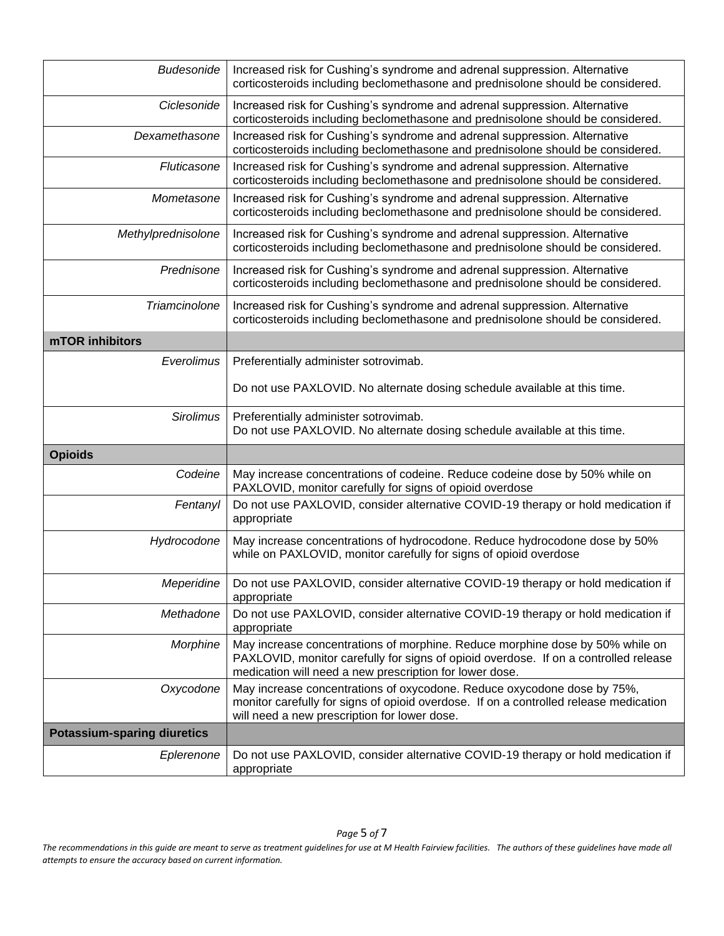| <b>Budesonide</b>                  | Increased risk for Cushing's syndrome and adrenal suppression. Alternative<br>corticosteroids including beclomethasone and prednisolone should be considered.                                                                    |
|------------------------------------|----------------------------------------------------------------------------------------------------------------------------------------------------------------------------------------------------------------------------------|
| Ciclesonide                        | Increased risk for Cushing's syndrome and adrenal suppression. Alternative<br>corticosteroids including beclomethasone and prednisolone should be considered.                                                                    |
| Dexamethasone                      | Increased risk for Cushing's syndrome and adrenal suppression. Alternative<br>corticosteroids including beclomethasone and prednisolone should be considered.                                                                    |
| Fluticasone                        | Increased risk for Cushing's syndrome and adrenal suppression. Alternative<br>corticosteroids including beclomethasone and prednisolone should be considered.                                                                    |
| Mometasone                         | Increased risk for Cushing's syndrome and adrenal suppression. Alternative<br>corticosteroids including beclomethasone and prednisolone should be considered.                                                                    |
| Methylprednisolone                 | Increased risk for Cushing's syndrome and adrenal suppression. Alternative<br>corticosteroids including beclomethasone and prednisolone should be considered.                                                                    |
| Prednisone                         | Increased risk for Cushing's syndrome and adrenal suppression. Alternative<br>corticosteroids including beclomethasone and prednisolone should be considered.                                                                    |
| Triamcinolone                      | Increased risk for Cushing's syndrome and adrenal suppression. Alternative<br>corticosteroids including beclomethasone and prednisolone should be considered.                                                                    |
| mTOR inhibitors                    |                                                                                                                                                                                                                                  |
| Everolimus                         | Preferentially administer sotrovimab.                                                                                                                                                                                            |
|                                    | Do not use PAXLOVID. No alternate dosing schedule available at this time.                                                                                                                                                        |
| <b>Sirolimus</b>                   | Preferentially administer sotrovimab.<br>Do not use PAXLOVID. No alternate dosing schedule available at this time.                                                                                                               |
| <b>Opioids</b>                     |                                                                                                                                                                                                                                  |
| Codeine                            | May increase concentrations of codeine. Reduce codeine dose by 50% while on<br>PAXLOVID, monitor carefully for signs of opioid overdose                                                                                          |
| Fentanyl                           | Do not use PAXLOVID, consider alternative COVID-19 therapy or hold medication if<br>appropriate                                                                                                                                  |
| Hydrocodone                        | May increase concentrations of hydrocodone. Reduce hydrocodone dose by 50%<br>while on PAXLOVID, monitor carefully for signs of opioid overdose                                                                                  |
| Meperidine                         | Do not use PAXLOVID, consider alternative COVID-19 therapy or hold medication if<br>appropriate                                                                                                                                  |
| Methadone                          | Do not use PAXLOVID, consider alternative COVID-19 therapy or hold medication if<br>appropriate                                                                                                                                  |
| Morphine                           | May increase concentrations of morphine. Reduce morphine dose by 50% while on<br>PAXLOVID, monitor carefully for signs of opioid overdose. If on a controlled release<br>medication will need a new prescription for lower dose. |
| Oxycodone                          | May increase concentrations of oxycodone. Reduce oxycodone dose by 75%,<br>monitor carefully for signs of opioid overdose. If on a controlled release medication<br>will need a new prescription for lower dose.                 |
| <b>Potassium-sparing diuretics</b> |                                                                                                                                                                                                                                  |
| Eplerenone                         | Do not use PAXLOVID, consider alternative COVID-19 therapy or hold medication if<br>appropriate                                                                                                                                  |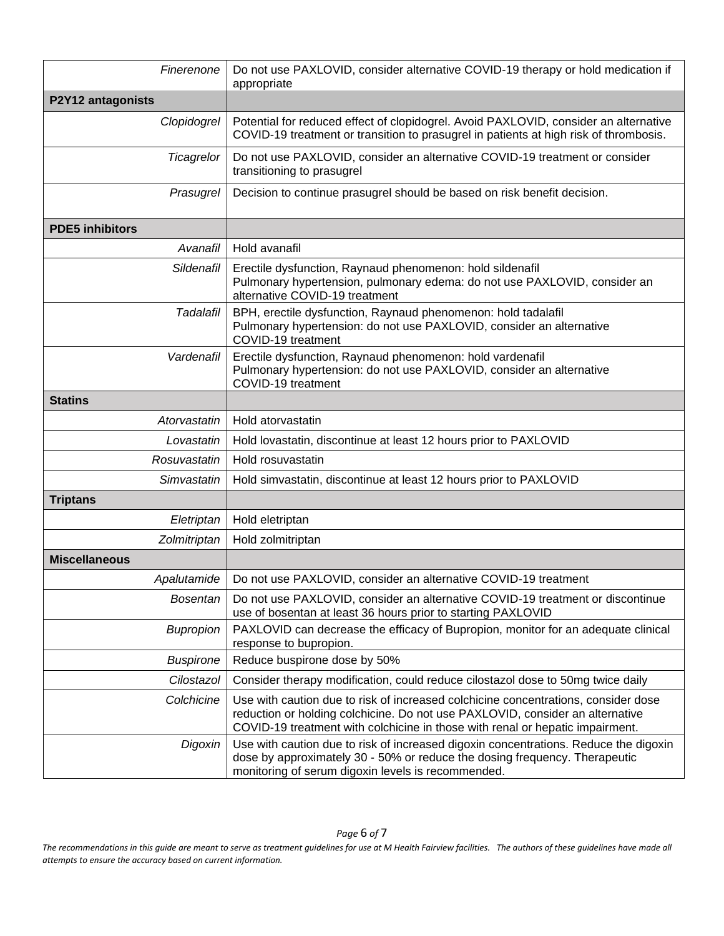| Finerenone             | Do not use PAXLOVID, consider alternative COVID-19 therapy or hold medication if<br>appropriate                                                                                                                                                      |
|------------------------|------------------------------------------------------------------------------------------------------------------------------------------------------------------------------------------------------------------------------------------------------|
| P2Y12 antagonists      |                                                                                                                                                                                                                                                      |
| Clopidogrel            | Potential for reduced effect of clopidogrel. Avoid PAXLOVID, consider an alternative<br>COVID-19 treatment or transition to prasugrel in patients at high risk of thrombosis.                                                                        |
| Ticagrelor             | Do not use PAXLOVID, consider an alternative COVID-19 treatment or consider<br>transitioning to prasugrel                                                                                                                                            |
| Prasugrel              | Decision to continue prasugrel should be based on risk benefit decision.                                                                                                                                                                             |
| <b>PDE5</b> inhibitors |                                                                                                                                                                                                                                                      |
| Avanafil               | Hold avanafil                                                                                                                                                                                                                                        |
| Sildenafil             | Erectile dysfunction, Raynaud phenomenon: hold sildenafil<br>Pulmonary hypertension, pulmonary edema: do not use PAXLOVID, consider an<br>alternative COVID-19 treatment                                                                             |
| Tadalafil              | BPH, erectile dysfunction, Raynaud phenomenon: hold tadalafil<br>Pulmonary hypertension: do not use PAXLOVID, consider an alternative<br>COVID-19 treatment                                                                                          |
| Vardenafil             | Erectile dysfunction, Raynaud phenomenon: hold vardenafil<br>Pulmonary hypertension: do not use PAXLOVID, consider an alternative<br>COVID-19 treatment                                                                                              |
| <b>Statins</b>         |                                                                                                                                                                                                                                                      |
| Atorvastatin           | Hold atorvastatin                                                                                                                                                                                                                                    |
| Lovastatin             | Hold lovastatin, discontinue at least 12 hours prior to PAXLOVID                                                                                                                                                                                     |
| Rosuvastatin           | Hold rosuvastatin                                                                                                                                                                                                                                    |
| Simvastatin            | Hold simvastatin, discontinue at least 12 hours prior to PAXLOVID                                                                                                                                                                                    |
| <b>Triptans</b>        |                                                                                                                                                                                                                                                      |
| Eletriptan             | Hold eletriptan                                                                                                                                                                                                                                      |
| Zolmitriptan           | Hold zolmitriptan                                                                                                                                                                                                                                    |
| <b>Miscellaneous</b>   |                                                                                                                                                                                                                                                      |
| Apalutamide            | Do not use PAXLOVID, consider an alternative COVID-19 treatment                                                                                                                                                                                      |
| <b>Bosentan</b>        | Do not use PAXLOVID, consider an alternative COVID-19 treatment or discontinue<br>use of bosentan at least 36 hours prior to starting PAXLOVID                                                                                                       |
| <b>Bupropion</b>       | PAXLOVID can decrease the efficacy of Bupropion, monitor for an adequate clinical<br>response to bupropion.                                                                                                                                          |
| <b>Buspirone</b>       | Reduce buspirone dose by 50%                                                                                                                                                                                                                         |
| Cilostazol             | Consider therapy modification, could reduce cilostazol dose to 50mg twice daily                                                                                                                                                                      |
| Colchicine             | Use with caution due to risk of increased colchicine concentrations, consider dose<br>reduction or holding colchicine. Do not use PAXLOVID, consider an alternative<br>COVID-19 treatment with colchicine in those with renal or hepatic impairment. |
| Digoxin                | Use with caution due to risk of increased digoxin concentrations. Reduce the digoxin<br>dose by approximately 30 - 50% or reduce the dosing frequency. Therapeutic<br>monitoring of serum digoxin levels is recommended.                             |

*The recommendations in this guide are meant to serve as treatment guidelines for use at M Health Fairview facilities. The authors of these guidelines have made all attempts to ensure the accuracy based on current information.*